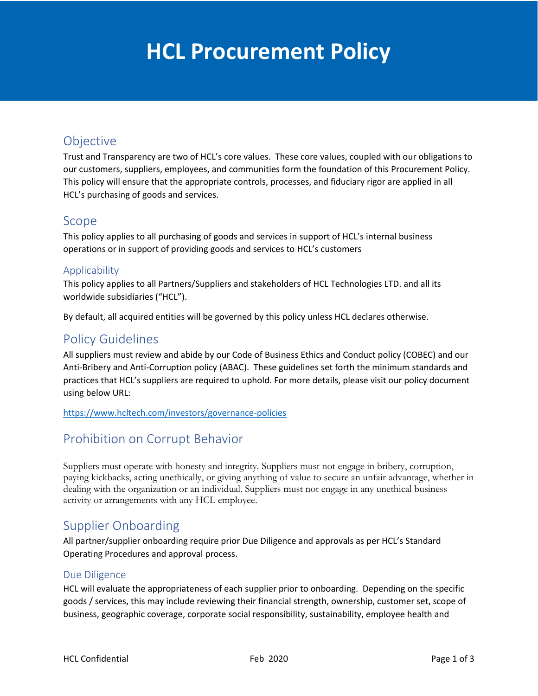# HCL Procurement Policy **HCL Procurement Policy**

# Objective

Trust and Transparency are two of HCL's core values. These core values, coupled with our obligations to our customers, suppliers, employees, and communities form the foundation of this Procurement Policy. This policy will ensure that the appropriate controls, processes, and fiduciary rigor are applied in all HCL's purchasing of goods and services.

## Scope

This policy applies to all purchasing of goods and services in support of HCL's internal business operations or in support of providing goods and services to HCL's customers

## Applicability

This policy applies to all Partners/Suppliers and stakeholders of HCL Technologies LTD. and all its worldwide subsidiaries ("HCL").

By default, all acquired entities will be governed by this policy unless HCL declares otherwise.

## Policy Guidelines

All suppliers must review and abide by our Code of Business Ethics and Conduct policy (COBEC) and our Anti-Bribery and Anti-Corruption policy (ABAC). These guidelines set forth the minimum standards and practices that HCL's suppliers are required to uphold. For more details, please visit our policy document using below URL:

<https://www.hcltech.com/investors/governance-policies>

# Prohibition on Corrupt Behavior

Suppliers must operate with honesty and integrity. Suppliers must not engage in bribery, corruption, paying kickbacks, acting unethically, or giving anything of value to secure an unfair advantage, whether in dealing with the organization or an individual. Suppliers must not engage in any unethical business activity or arrangements with any HCL employee.

## Supplier Onboarding

All partner/supplier onboarding require prior Due Diligence and approvals as per HCL's Standard Operating Procedures and approval process.

### Due Diligence

HCL will evaluate the appropriateness of each supplier prior to onboarding. Depending on the specific goods / services, this may include reviewing their financial strength, ownership, customer set, scope of business, geographic coverage, corporate social responsibility, sustainability, employee health and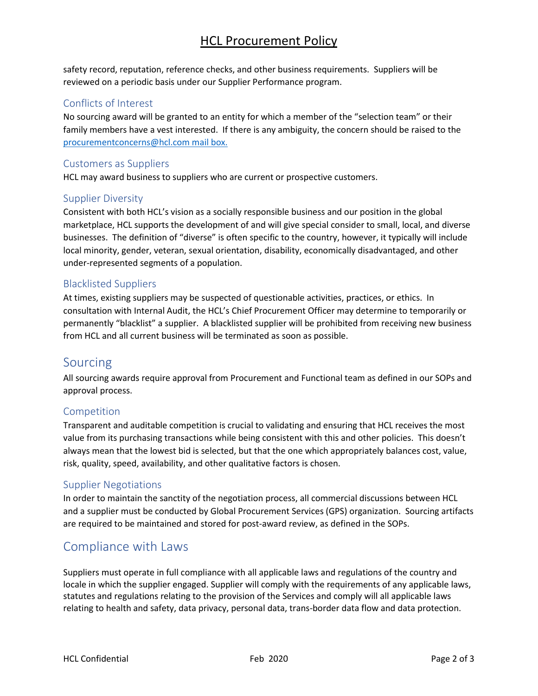## HCL Procurement Policy

safety record, reputation, reference checks, and other business requirements. Suppliers will be reviewed on a periodic basis under our Supplier Performance program.

#### Conflicts of Interest

No sourcing award will be granted to an entity for which a member of the "selection team" or their family members have a vest interested. If there is any ambiguity, the concern should be raised to the [procurementconcerns@hcl.com](mailto:procurementconcerns@hcl.com) mail box.

#### Customers as Suppliers

HCL may award business to suppliers who are current or prospective customers.

#### Supplier Diversity

Consistent with both HCL's vision as a socially responsible business and our position in the global marketplace, HCL supports the development of and will give special consider to small, local, and diverse businesses. The definition of "diverse" is often specific to the country, however, it typically will include local minority, gender, veteran, sexual orientation, disability, economically disadvantaged, and other under-represented segments of a population.

#### Blacklisted Suppliers

At times, existing suppliers may be suspected of questionable activities, practices, or ethics. In consultation with Internal Audit, the HCL's Chief Procurement Officer may determine to temporarily or permanently "blacklist" a supplier. A blacklisted supplier will be prohibited from receiving new business from HCL and all current business will be terminated as soon as possible.

## Sourcing

All sourcing awards require approval from Procurement and Functional team as defined in our SOPs and approval process.

#### Competition

Transparent and auditable competition is crucial to validating and ensuring that HCL receives the most value from its purchasing transactions while being consistent with this and other policies. This doesn't always mean that the lowest bid is selected, but that the one which appropriately balances cost, value, risk, quality, speed, availability, and other qualitative factors is chosen.

#### Supplier Negotiations

In order to maintain the sanctity of the negotiation process, all commercial discussions between HCL and a supplier must be conducted by Global Procurement Services (GPS) organization. Sourcing artifacts are required to be maintained and stored for post-award review, as defined in the SOPs.

## Compliance with Laws

Suppliers must operate in full compliance with all applicable laws and regulations of the country and locale in which the supplier engaged. Supplier will comply with the requirements of any applicable laws, statutes and regulations relating to the provision of the Services and comply will all applicable laws relating to health and safety, data privacy, personal data, trans-border data flow and data protection.